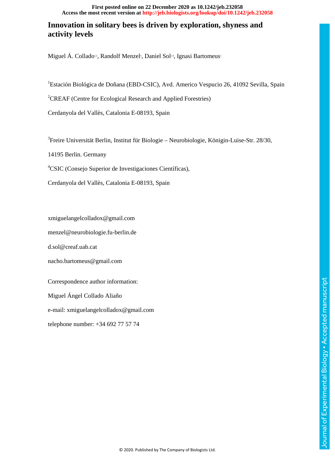#### **Access the most recent version at<http://jeb.biologists.org/lookup/doi/10.1242/jeb.232058> First posted online on 22 December 2020 as 10.1242/jeb.232058**

# **Innovation in solitary bees is driven by exploration, shyness and activity levels**

Miguel A. Collado<sup>12</sup>, Randolf Menzel<sup>3</sup>, Daniel Sol<sup>24</sup>, Ignasi Bartomeus<sup>1</sup>

<sup>1</sup>Estación Biológica de Doñana (EBD-CSIC), Avd. Americo Vespucio 26, 41092 Sevilla, Spain

<sup>2</sup>CREAF (Centre for Ecological Research and Applied Forestries)

Cerdanyola del Vallès, Catalonia E-08193, Spain

3 Freire Universität Berlin, Institut für Biologie – Neurobiologie, Königin-Luise-Str. 28/30,

14195 Berlin. Germany

4 CSIC (Consejo Superior de Investigaciones Científicas),

Cerdanyola del Vallès, Catalonia E-08193, Spain

xmiguelangelcolladox@gmail.com

menzel@neurobiologie.fu-berlin.de

d.sol@creaf.uab.cat

nacho.bartomeus@gmail.com

Correspondence author information: Miguel Ángel Collado Aliaño e-mail: xmiguelangelcolladox@gmail.com

telephone number: +34 692 77 57 74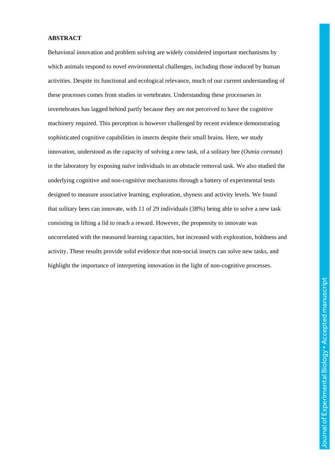#### **ABSTRACT**

Behavioral innovation and problem solving are widely considered important mechanisms by which animals respond to novel environmental challenges, including those induced by human activities. Despite its functional and ecological relevance, much of our current understanding of these processes comes from studies in vertebrates. Understanding these processeses in invertebrates has lagged behind partly because they are not perceived to have the cognitive machinery required. This perception is however challenged by recent evidence demonstrating sophisticated cognitive capabilities in insects despite their small brains. Here, we study innovation, understood as the capacity of solving a new task, of a solitary bee (*Osmia cornuta*) in the laboratory by exposing naïve individuals to an obstacle removal task. We also studied the underlying cognitive and non-cognitive mechanisms through a battery of experimental tests designed to measure associative learning, exploration, shyness and activity levels. We found that solitary bees can innovate, with 11 of 29 individuals (38%) being able to solve a new task consisting in lifting a lid to reach a reward. However, the propensity to innovate was uncorrelated with the measured learning capacities, but increased with exploration, boldness and activity. These results provide solid evidence that non-social insects can solve new tasks, and highlight the importance of interpreting innovation in the light of non-cognitive processes.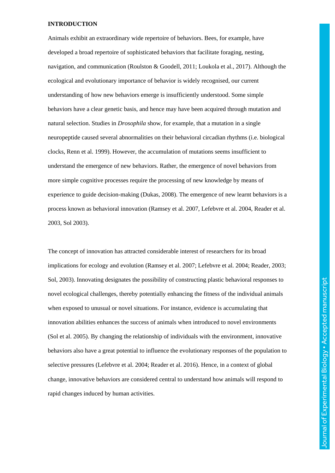#### **INTRODUCTION**

Animals exhibit an extraordinary wide repertoire of behaviors. Bees, for example, have developed a broad repertoire of sophisticated behaviors that facilitate foraging, nesting, navigation, and communication (Roulston & Goodell, 2011; Loukola et al., 2017). Although the ecological and evolutionary importance of behavior is widely recognised, our current understanding of how new behaviors emerge is insufficiently understood. Some simple behaviors have a clear genetic basis, and hence may have been acquired through mutation and natural selection. Studies in *Drosophila* show, for example, that a mutation in a single neuropeptide caused several abnormalities on their behavioral circadian rhythms (i.e. biological clocks, Renn et al. 1999). However, the accumulation of mutations seems insufficient to understand the emergence of new behaviors. Rather, the emergence of novel behaviors from more simple cognitive processes require the processing of new knowledge by means of experience to guide decision-making (Dukas, 2008). The emergence of new learnt behaviors is a process known as behavioral innovation (Ramsey et al. 2007, Lefebvre et al. 2004, Reader et al. 2003, Sol 2003).

The concept of innovation has attracted considerable interest of researchers for its broad implications for ecology and evolution (Ramsey et al. 2007; Lefebvre et al. 2004; Reader, 2003; Sol, 2003). Innovating designates the possibility of constructing plastic behavioral responses to novel ecological challenges, thereby potentially enhancing the fitness of the individual animals when exposed to unusual or novel situations. For instance, evidence is accumulating that innovation abilities enhances the success of animals when introduced to novel environments (Sol et al. 2005). By changing the relationship of individuals with the environment, innovative behaviors also have a great potential to influence the evolutionary responses of the population to selective pressures (Lefebvre et al. 2004; Reader et al. 2016). Hence, in a context of global change, innovative behaviors are considered central to understand how animals will respond to rapid changes induced by human activities.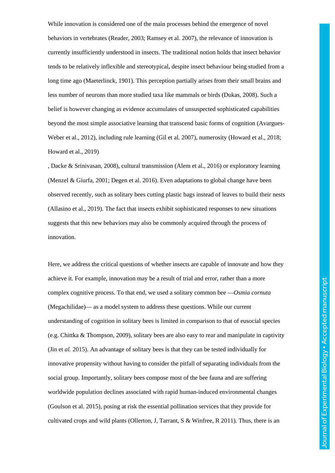While innovation is considered one of the main processes behind the emergence of novel behaviors in vertebrates (Reader, 2003; Ramsey et al. 2007), the relevance of innovation is currently insufficiently understood in insects. The traditional notion holds that insect behavior tends to be relatively inflexible and stereotypical, despite insect behaviour being studied from a long time ago (Maeterlinck, 1901). This perception partially arises from their small brains and less number of neurons than more studied taxa like mammals or birds (Dukas, 2008). Such a belief is however changing as evidence accumulates of unsuspected sophisticated capabilities beyond the most simple associative learning that transcend basic forms of cognition (Avargues-Weber et al., 2012), including rule learning (Gil et al. 2007), numerosity (Howard et al., 2018; Howard et al., 2019)

, Dacke & Srinivasan, 2008), cultural transmission (Alem et al., 2016) or exploratory learning (Menzel & Giurfa, 2001; Degen et al. 2016). Even adaptations to global change have been observed recently, such as solitary bees cutting plastic bags instead of leaves to build their nests (Allasino et al., 2019). The fact that insects exhibit sophisticated responses to new situations suggests that this new behaviors may also be commonly acquired through the process of innovation.

Here, we address the critical questions of whether insects are capable of innovate and how they achieve it. For example, innovation may be a result of trial and error, rather than a more complex cognitive process. To that end, we used a solitary common bee —*Osmia cornuta* (Megachilidae)— as a model system to address these questions. While our current understanding of cognition in solitary bees is limited in comparison to that of eusocial species (e.g. Chittka & Thompson, 2009), solitary bees are also easy to rear and manipulate in captivity (Jin et *al.* 2015). An advantage of solitary bees is that they can be tested individually for innovative propensity without having to consider the pitfall of separating individuals from the social group. Importantly, solitary bees compose most of the bee fauna and are suffering worldwide population declines associated with rapid human-induced environmental changes (Goulson et al. 2015), posing at risk the essential pollination services that they provide for cultivated crops and wild plants (Ollerton, J, Tarrant, S & Winfree, R 2011). Thus, there is an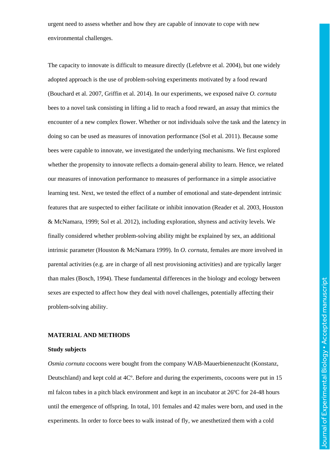urgent need to assess whether and how they are capable of innovate to cope with new environmental challenges.

The capacity to innovate is difficult to measure directly (Lefebvre et al. 2004), but one widely adopted approach is the use of problem-solving experiments motivated by a food reward (Bouchard et al. 2007, Griffin et al. 2014). In our experiments, we exposed naïve *O. cornuta* bees to a novel task consisting in lifting a lid to reach a food reward, an assay that mimics the encounter of a new complex flower. Whether or not individuals solve the task and the latency in doing so can be used as measures of innovation performance (Sol et al. 2011). Because some bees were capable to innovate, we investigated the underlying mechanisms. We first explored whether the propensity to innovate reflects a domain-general ability to learn. Hence, we related our measures of innovation performance to measures of performance in a simple associative learning test. Next, we tested the effect of a number of emotional and state-dependent intrinsic features that are suspected to either facilitate or inhibit innovation (Reader et al. 2003, Houston & McNamara, 1999; Sol et al. 2012), including exploration, shyness and activity levels. We finally considered whether problem-solving ability might be explained by sex, an additional intrinsic parameter (Houston & McNamara 1999). In *O. cornuta*, females are more involved in parental activities (e.g. are in charge of all nest provisioning activities) and are typically larger than males (Bosch, 1994). These fundamental differences in the biology and ecology between sexes are expected to affect how they deal with novel challenges, potentially affecting their problem-solving ability.

## **MATERIAL AND METHODS**

#### **Study subjects**

*Osmia cornuta* cocoons were bought from the company WAB-Mauerbienenzucht (Konstanz, Deutschland) and kept cold at 4Cº. Before and during the experiments, cocoons were put in 15 ml falcon tubes in a pitch black environment and kept in an incubator at 26ºC for 24-48 hours until the emergence of offspring. In total, 101 females and 42 males were born, and used in the experiments. In order to force bees to walk instead of fly, we anesthetized them with a cold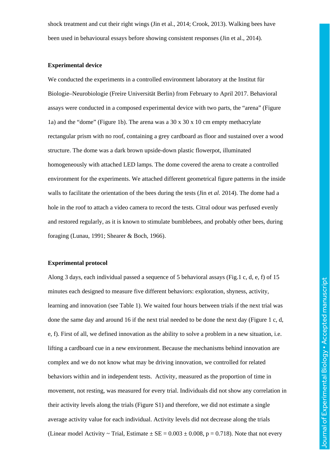shock treatment and cut their right wings (Jin et al., 2014; Crook, 2013). Walking bees have been used in behavioural essays before showing consistent responses (Jin et al., 2014).

### **Experimental device**

We conducted the experiments in a controlled environment laboratory at the Institut für Biologie–Neurobiologie (Freire Universität Berlin) from February to April 2017. Behavioral assays were conducted in a composed experimental device with two parts, the "arena" (Figure 1a) and the "dome" (Figure 1b). The arena was a  $30 \times 30 \times 10$  cm empty methacrylate rectangular prism with no roof, containing a grey cardboard as floor and sustained over a wood structure. The dome was a dark brown upside-down plastic flowerpot, illuminated homogeneously with attached LED lamps. The dome covered the arena to create a controlled environment for the experiments. We attached different geometrical figure patterns in the inside walls to facilitate the orientation of the bees during the tests (Jin et *al.* 2014). The dome had a hole in the roof to attach a video camera to record the tests. Citral odour was perfused evenly and restored regularly, as it is known to stimulate bumblebees, and probably other bees, during foraging (Lunau, 1991; Shearer & Boch, 1966).

#### **Experimental protocol**

Along 3 days, each individual passed a sequence of 5 behavioral assays (Fig.1 c, d, e, f) of 15 minutes each designed to measure five different behaviors: exploration, shyness, activity, learning and innovation (see Table 1). We waited four hours between trials if the next trial was done the same day and around 16 if the next trial needed to be done the next day (Figure 1 c, d, e, f). First of all, we defined innovation as the ability to solve a problem in a new situation, i.e. lifting a cardboard cue in a new environment. Because the mechanisms behind innovation are complex and we do not know what may be driving innovation, we controlled for related behaviors within and in independent tests. Activity, measured as the proportion of time in movement, not resting, was measured for every trial. Individuals did not show any correlation in their activity levels along the trials (Figure S1) and therefore, we did not estimate a single average activity value for each individual. Activity levels did not decrease along the trials (Linear model Activity  $\sim$  Trial, Estimate  $\pm$  SE = 0.003  $\pm$  0.008, p = 0.718). Note that not every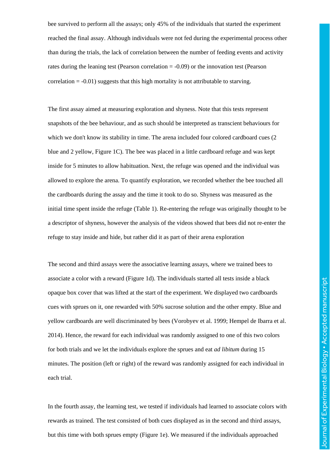bee survived to perform all the assays; only 45% of the individuals that started the experiment reached the final assay. Although individuals were not fed during the experimental process other than during the trials, the lack of correlation between the number of feeding events and activity rates during the leaning test (Pearson correlation = -0.09) or the innovation test (Pearson correlation  $= -0.01$ ) suggests that this high mortality is not attributable to starving.

The first assay aimed at measuring exploration and shyness. Note that this tests represent snapshots of the bee behaviour, and as such should be interpreted as transcient behaviours for which we don't know its stability in time. The arena included four colored cardboard cues (2 blue and 2 yellow, Figure 1C). The bee was placed in a little cardboard refuge and was kept inside for 5 minutes to allow habituation. Next, the refuge was opened and the individual was allowed to explore the arena. To quantify exploration, we recorded whether the bee touched all the cardboards during the assay and the time it took to do so. Shyness was measured as the initial time spent inside the refuge (Table 1). Re-entering the refuge was originally thought to be a descriptor of shyness, however the analysis of the videos showed that bees did not re-enter the refuge to stay inside and hide, but rather did it as part of their arena exploration

The second and third assays were the associative learning assays, where we trained bees to associate a color with a reward (Figure 1d). The individuals started all tests inside a black opaque box cover that was lifted at the start of the experiment. We displayed two cardboards cues with sprues on it, one rewarded with 50% sucrose solution and the other empty. Blue and yellow cardboards are well discriminated by bees (Vorobyev et al. 1999; Hempel de Ibarra et al. 2014). Hence, the reward for each individual was randomly assigned to one of this two colors for both trials and we let the individuals explore the sprues and eat *ad libitum* during 15 minutes. The position (left or right) of the reward was randomly assigned for each individual in each trial.

In the fourth assay, the learning test, we tested if individuals had learned to associate colors with rewards as trained. The test consisted of both cues displayed as in the second and third assays, but this time with both sprues empty (Figure 1e). We measured if the individuals approached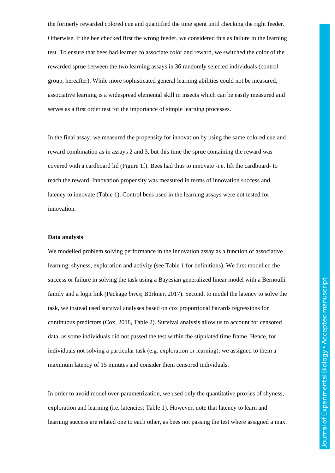the formerly rewarded colored cue and quantified the time spent until checking the right feeder. Otherwise, if the bee checked first the wrong feeder, we considered this as failure in the learning test. To ensure that bees had learned to associate color and reward, we switched the color of the rewarded sprue between the two learning assays in 36 randomly selected individuals (control group, hereafter). While more sophisticated general learning abilities could not be measured, associative learning is a widespread elemental skill in insects which can be easily measured and serves as a first order test for the importance of simple learning processes.

In the final assay, we measured the propensity for innovation by using the same colored cue and reward combination as in assays 2 and 3, but this time the sprue containing the reward was covered with a cardboard lid (Figure 1f). Bees had thus to innovate -i.e. lift the cardboard- to reach the reward. Innovation propensity was measured in terms of innovation success and latency to innovate (Table 1). Control bees used in the learning assays were not tested for innovation.

### **Data analysis**

We modelled problem solving performance in the innovation assay as a function of associative learning, shyness, exploration and activity (see Table 1 for definitions). We first modelled the success or failure in solving the task using a Bayesian generalized linear model with a Bernoulli family and a logit link (Package *brms*; Bürkner, 2017). Second, to model the latency to solve the task, we instead used survival analyses based on cox proportional hazards regressions for continuous predictors (Cox, 2018, Table 2). Survival analysis allow us to account for censored data, as some individuals did not passed the test within the stipulated time frame. Hence, for individuals not solving a particular task (e.g. exploration or learning), we assigned to them a maximum latency of 15 minutes and consider them censored individuals.

In order to avoid model over-parametrization, we used only the quantitative proxies of shyness, exploration and learning (i.e. latencies; Table 1). However, note that latency to learn and learning success are related one to each other, as bees not passing the test where assigned a max.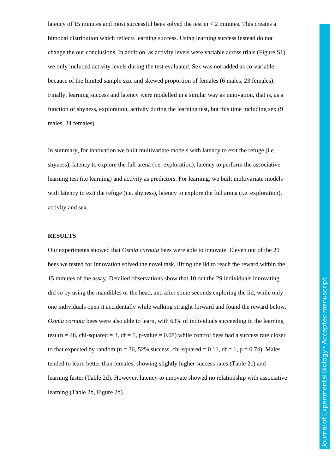latency of 15 minutes and most successful bees solved the test in < 2 minutes. This creates a bimodal distribution which reflects learning success. Using learning success instead do not change the our conclusions. In addition, as activity levels were variable across trials (Figure S1), we only included activity levels during the test evaluated. Sex was not added as co-variable because of the limited sample size and skewed proportion of females (6 males, 23 females). Finally, learning success and latency were modelled in a similar way as innovation, that is, as a function of shyness, exploration, activity during the learning test, but this time including sex (9 males, 34 females).

In summary, for innovation we built multivariate models with latency to exit the refuge (i.e. shyness), latency to explore the full arena (i.e. exploration), latency to perform the associative learning test (i.e learning) and activity as predictors. For learning, we built multivariate models with latency to exit the refuge (i.e. shyness), latency to explore the full arena (i.e. exploration), activity and sex.

#### **RESULTS**

Our experiments showed that *Osmia cornuta* bees were able to innovate. Eleven out of the 29 bees we tested for innovation solved the novel task, lifting the lid to reach the reward within the 15 minutes of the assay. Detailed observations show that 10 out the 29 individuals innovating did so by using the mandibles or the head, and after some seconds exploring the lid, while only one individuals open it accidentally while walking straight forward and found the reward below. *Osmia cornuta* bees were also able to learn, with 63% of individuals succeeding in the learning test (n = 48, chi-squared = 3, df = 1, p-value = 0.08) while control bees had a success rate closer to that expected by random ( $n = 36, 52\%$  success, chi-squared  $= 0.11$ , df  $= 1$ , p  $= 0.74$ ). Males tended to learn better than females, showing slightly higher success rates (Table 2c) and learning faster (Table 2d). However, latency to innovate showed no relationship with associative learning (Table 2b, Figure 2b).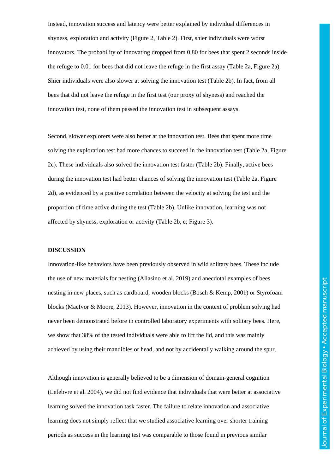Instead, innovation success and latency were better explained by individual differences in shyness, exploration and activity (Figure 2, Table 2). First, shier individuals were worst innovators. The probability of innovating dropped from 0.80 for bees that spent 2 seconds inside the refuge to 0.01 for bees that did not leave the refuge in the first assay (Table 2a, Figure 2a). Shier individuals were also slower at solving the innovation test (Table 2b). In fact, from all bees that did not leave the refuge in the first test (our proxy of shyness) and reached the innovation test, none of them passed the innovation test in subsequent assays.

Second, slower explorers were also better at the innovation test. Bees that spent more time solving the exploration test had more chances to succeed in the innovation test (Table 2a, Figure 2c). These individuals also solved the innovation test faster (Table 2b). Finally, active bees during the innovation test had better chances of solving the innovation test (Table 2a, Figure 2d), as evidenced by a positive correlation between the velocity at solving the test and the proportion of time active during the test (Table 2b). Unlike innovation, learning was not affected by shyness, exploration or activity (Table 2b, c; Figure 3).

### **DISCUSSION**

Innovation-like behaviors have been previously observed in wild solitary bees. These include the use of new materials for nesting (Allasino et al. 2019) and anecdotal examples of bees nesting in new places, such as cardboard, wooden blocks (Bosch & Kemp, 2001) or Styrofoam blocks (MacIvor & Moore, 2013). However, innovation in the context of problem solving had never been demonstrated before in controlled laboratory experiments with solitary bees. Here, we show that 38% of the tested individuals were able to lift the lid, and this was mainly achieved by using their mandibles or head, and not by accidentally walking around the spur.

Although innovation is generally believed to be a dimension of domain-general cognition (Lefebvre et al. 2004), we did not find evidence that individuals that were better at associative learning solved the innovation task faster. The failure to relate innovation and associative learning does not simply reflect that we studied associative learning over shorter training periods as success in the learning test was comparable to those found in previous similar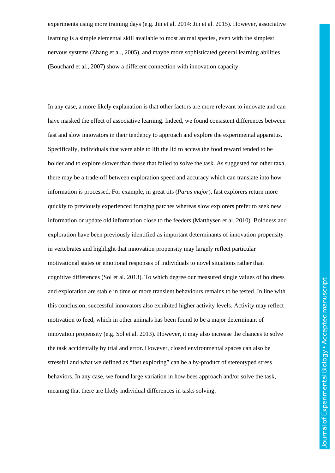experiments using more training days (e.g. Jin et al. 2014: Jin et al. 2015). However, associative learning is a simple elemental skill available to most animal species, even with the simplest nervous systems (Zhang et al., 2005), and maybe more sophisticated general learning abilities (Bouchard et al., 2007) show a different connection with innovation capacity.

In any case, a more likely explanation is that other factors are more relevant to innovate and can have masked the effect of associative learning. Indeed, we found consistent differences between fast and slow innovators in their tendency to approach and explore the experimental apparatus. Specifically, individuals that were able to lift the lid to access the food reward tended to be bolder and to explore slower than those that failed to solve the task. As suggested for other taxa, there may be a trade-off between exploration speed and accuracy which can translate into how information is processed. For example, in great tits (*Parus major*), fast explorers return more quickly to previously experienced foraging patches whereas slow explorers prefer to seek new information or update old information close to the feeders (Matthysen et al. 2010). Boldness and exploration have been previously identified as important determinants of innovation propensity in vertebrates and highlight that innovation propensity may largely reflect particular motivational states or emotional responses of individuals to novel situations rather than cognitive differences (Sol et al. 2013). To which degree our measured single values of boldness and exploration are stable in time or more transient behaviours remains to be tested. In line with this conclusion, successful innovators also exhibited higher activity levels. Activity may reflect motivation to feed, which in other animals has been found to be a major determinant of innovation propensity (e.g. Sol et al. 2013). However, it may also increase the chances to solve the task accidentally by trial and error. However, closed environmental spaces can also be stressful and what we defined as "fast exploring" can be a by-product of stereotyped stress behaviors. In any case, we found large variation in how bees approach and/or solve the task, meaning that there are likely individual differences in tasks solving.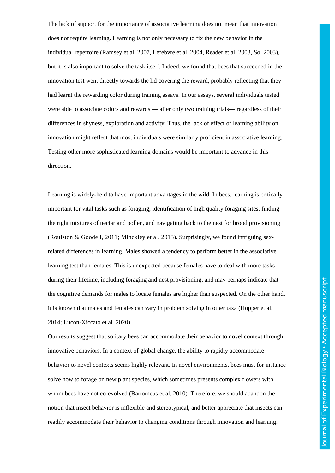The lack of support for the importance of associative learning does not mean that innovation does not require learning. Learning is not only necessary to fix the new behavior in the individual repertoire (Ramsey et al. 2007, Lefebvre et al. 2004, Reader et al. 2003, Sol 2003), but it is also important to solve the task itself. Indeed, we found that bees that succeeded in the innovation test went directly towards the lid covering the reward, probably reflecting that they had learnt the rewarding color during training assays. In our assays, several individuals tested were able to associate colors and rewards — after only two training trials— regardless of their differences in shyness, exploration and activity. Thus, the lack of effect of learning ability on innovation might reflect that most individuals were similarly proficient in associative learning. Testing other more sophisticated learning domains would be important to advance in this direction.

Learning is widely-held to have important advantages in the wild. In bees, learning is critically important for vital tasks such as foraging, identification of high quality foraging sites, finding the right mixtures of nectar and pollen, and navigating back to the nest for brood provisioning (Roulston & Goodell, 2011; Minckley et al. 2013). Surprisingly, we found intriguing sexrelated differences in learning. Males showed a tendency to perform better in the associative learning test than females. This is unexpected because females have to deal with more tasks during their lifetime, including foraging and nest provisioning, and may perhaps indicate that the cognitive demands for males to locate females are higher than suspected. On the other hand, it is known that males and females can vary in problem solving in other taxa (Hopper et al. 2014; Lucon-Xiccato et al. 2020).

Our results suggest that solitary bees can accommodate their behavior to novel context through innovative behaviors. In a context of global change, the ability to rapidly accommodate behavior to novel contexts seems highly relevant. In novel environments, bees must for instance solve how to forage on new plant species, which sometimes presents complex flowers with whom bees have not co-evolved (Bartomeus et al. 2010). Therefore, we should abandon the notion that insect behavior is inflexible and stereotypical, and better appreciate that insects can readily accommodate their behavior to changing conditions through innovation and learning.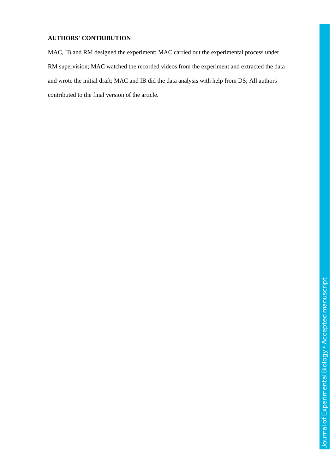# **AUTHORS' CONTRIBUTION**

MAC, IB and RM designed the experiment; MAC carried out the experimental process under RM supervision; MAC watched the recorded videos from the experiment and extracted the data and wrote the initial draft; MAC and IB did the data analysis with help from DS; All authors contributed to the final version of the article.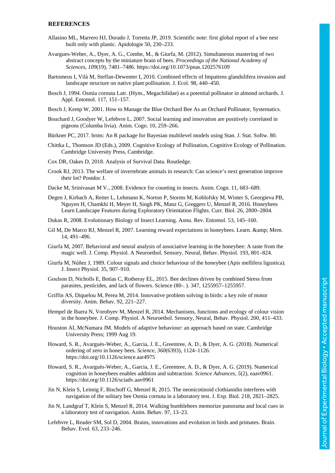#### **REFERENCES**

- Allasino ML, Marrero HJ, Dorado J, Torretta JP, 2019. Scientific note: first global report of a bee nest built only with plastic. Apidologie 50, 230–233.
- Avargues-Weber, A., Dyer, A. G., Combe, M., & Giurfa, M. (2012). Simultaneous mastering of two abstract concepts by the miniature brain of bees. *Proceedings of the National Academy of Sciences*, *109*(19), 7481–7486. https://doi.org/10.1073/pnas.1202576109
- Bartomeus I, Vilà M, Steffan-Dewenter I, 2010. Combined effects of Impatiens glandulifera invasion and landscape structure on native plant pollination. J. Ecol. 98, 440–450.
- Bosch J, 1994. Osmia cornuta Latr. (Hym., Megachilidae) as a potential pollinator in almond orchards. J. Appl. Entomol. 117, 151–157.
- Bosch J, Kemp W, 2001. How to Manage the Blue Orchard Bee As an Orchard Pollinator, Systematics.
- Bouchard J, Goodyer W, Lefebvre L, 2007. Social learning and innovation are positively correlated in pigeons (Columba livia). Anim. Cogn. 10, 259–266.
- Bürkner PC, 2017. brms: An R package for Bayesian multilevel models using Stan. J. Stat. Softw. 80.
- Chittka L, Thomson JD (Eds.), 2009. Cognitive Ecology of Pollination, Cognitive Ecology of Pollination. Cambridge University Press, Cambridge.
- Cox DR, Oakes D, 2018. Analysis of Survival Data. Routledge.
- Crook RJ, 2013. The welfare of invertebrate animals in research: Can science's next generation improve their lot? Postdoc J.
- Dacke M, Srinivasan M V., 2008. Evidence for counting in insects. Anim. Cogn. 11, 683–689.
- Degen J, Kirbach A, Reiter L, Lehmann K, Norton P, Storms M, Koblofsky M, Winter S, Georgieva PB, Nguyen H, Chamkhi H, Meyer H, Singh PK, Manz G, Greggers U, Menzel R, 2016. Honeybees Learn Landscape Features during Exploratory Orientation Flights. Curr. Biol. 26, 2800–2804.
- Dukas R, 2008. Evolutionary Biology of Insect Learning. Annu. Rev. Entomol. 53, 145–160.
- Gil M, De Marco RJ, Menzel R, 2007. Learning reward expectations in honeybees. Learn. & amp; Mem. 14, 491–496.
- Giurfa M, 2007. Behavioral and neural analysis of associative learning in the honeybee: A taste from the magic well. J. Comp. Physiol. A Neuroethol. Sensory, Neural, Behav. Physiol. 193, 801–824.
- Giurfa M, Núñez J, 1989. Colour signals and choice behaviour of the honeybee (Apis mellifera ligustica). J. Insect Physiol. 35, 907–910.
- Goulson D, Nicholls E, Botías C, Rotheray EL, 2015. Bee declines driven by combined Stress from parasites, pesticides, and lack of flowers. Science (80-. ). 347, 1255957–1255957.
- Griffin AS, Diquelou M, Perea M, 2014. Innovative problem solving in birds: a key role of motor diversity. Anim. Behav. 92, 221–227.
- Hempel de Ibarra N, Vorobyev M, Menzel R, 2014. Mechanisms, functions and ecology of colour vision in the honeybee. J. Comp. Physiol. A Neuroethol. Sensory, Neural, Behav. Physiol. 200, 411–433.
- Houston AI, McNamara JM. Models of adaptive behaviour: an approach based on state. Cambridge University Press; 1999 Aug 19.
- Howard, S. R., Avarguès-Weber, A., Garcia, J. E., Greentree, A. D., & Dyer, A. G. (2018). Numerical ordering of zero in honey bees. *Science*, *360*(6393), 1124–1126. https://doi.org/10.1126/science.aar4975
- Howard, S. R., Avarguès-Weber, A., Garcia, J. E., Greentree, A. D., & Dyer, A. G. (2019). Numerical cognition in honeybees enables addition and subtraction. *Science Advances*, *5*(2), eaav0961. https://doi.org/10.1126/sciadv.aav0961
- Jin N, Klein S, Leimig F, Bischoff G, Menzel R, 2015. The neonicotinoid clothianidin interferes with navigation of the solitary bee Osmia cornuta in a laboratory test. J. Exp. Biol. 218, 2821–2825.
- Jin N, Landgraf T, Klein S, Menzel R, 2014. Walking bumblebees memorize panorama and local cues in a laboratory test of navigation. Anim. Behav. 97, 13–23.
- Lefebvre L, Reader SM, Sol D, 2004. Brains, innovations and evolution in birds and primates. Brain. Behav. Evol. 63, 233–246.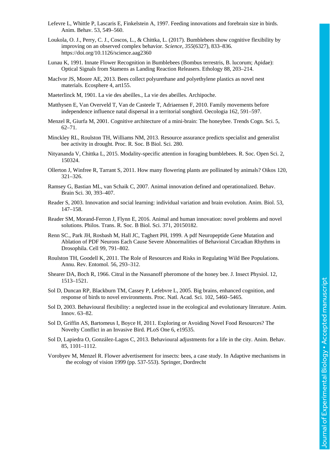Journal of Experimental Biology . Accepted manuscript Journal of Experimental Biology • Accepted manuscript

- Lefevre L, Whittle P, Lascaris E, Finkelstein A, 1997. Feeding innovations and forebrain size in birds. Anim. Behav. 53, 549–560.
- Loukola, O. J., Perry, C. J., Coscos, L., & Chittka, L. (2017). Bumblebees show cognitive flexibility by improving on an observed complex behavior. *Science*, *355*(6327), 833–836. https://doi.org/10.1126/science.aag2360
- Lunau K, 1991. Innate Flower Recognition in Bumblebees (Bombus terrestris, B. lucorum; Apidae): Optical Signals from Stamens as Landing Reaction Releasers. Ethology 88, 203–214.
- MacIvor JS, Moore AE, 2013. Bees collect polyurethane and polyethylene plastics as novel nest materials. Ecosphere 4, art155.
- Maeterlinck M, 1901. La vie des abeilles., La vie des abeilles. Archipoche.
- Matthysen E, Van Overveld T, Van de Casteele T, Adriaensen F, 2010. Family movements before independence influence natal dispersal in a territorial songbird. Oecologia 162, 591–597.
- Menzel R, Giurfa M, 2001. Cognitive architecture of a mini-brain: The honeybee. Trends Cogn. Sci. 5, 62–71.
- Minckley RL, Roulston TH, Williams NM, 2013. Resource assurance predicts specialist and generalist bee activity in drought. Proc. R. Soc. B Biol. Sci. 280.
- Nityananda V, Chittka L, 2015. Modality-specific attention in foraging bumblebees. R. Soc. Open Sci. 2, 150324.
- Ollerton J, Winfree R, Tarrant S, 2011. How many flowering plants are pollinated by animals? Oikos 120, 321–326.
- Ramsey G, Bastian ML, van Schaik C, 2007. Animal innovation defined and operationalized. Behav. Brain Sci. 30, 393–407.
- Reader S, 2003. Innovation and social learning: individual variation and brain evolution. Anim. Biol. 53, 147–158.
- Reader SM, Morand-Ferron J, Flynn E, 2016. Animal and human innovation: novel problems and novel solutions. Philos. Trans. R. Soc. B Biol. Sci. 371, 20150182.
- Renn SC., Park JH, Rosbash M, Hall JC, Taghert PH, 1999. A pdf Neuropeptide Gene Mutation and Ablation of PDF Neurons Each Cause Severe Abnormalities of Behavioral Circadian Rhythms in Drosophila. Cell 99, 791–802.
- Roulston TH, Goodell K, 2011. The Role of Resources and Risks in Regulating Wild Bee Populations. Annu. Rev. Entomol. 56, 293–312.
- Shearer DA, Boch R, 1966. Citral in the Nassanoff pheromone of the honey bee. J. Insect Physiol. 12, 1513–1521.
- Sol D, Duncan RP, Blackburn TM, Cassey P, Lefebvre L, 2005. Big brains, enhanced cognition, and response of birds to novel environments. Proc. Natl. Acad. Sci. 102, 5460–5465.
- Sol D, 2003. Behavioural flexibility: a neglected issue in the ecological and evolutionary literature. Anim. Innov. 63–82.
- Sol D, Griffin AS, Bartomeus I, Boyce H, 2011. Exploring or Avoiding Novel Food Resources? The Novelty Conflict in an Invasive Bird. PLoS One 6, e19535.
- Sol D, Lapiedra O, González-Lagos C, 2013. Behavioural adjustments for a life in the city. Anim. Behav. 85, 1101–1112.
- Vorobyev M, Menzel R. Flower advertisement for insects: bees, a case study. In Adaptive mechanisms in the ecology of vision 1999 (pp. 537-553). Springer, Dordrecht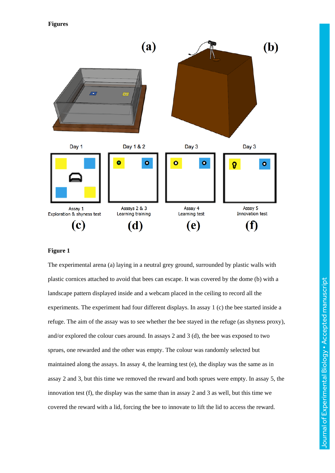**Figures** 



## **Figure 1**

The experimental arena (a) laying in a neutral grey ground, surrounded by plastic walls with plastic cornices attached to avoid that bees can escape. It was covered by the dome (b) with a landscape pattern displayed inside and a webcam placed in the ceiling to record all the experiments. The experiment had four different displays. In assay 1 (c) the bee started inside a refuge. The aim of the assay was to see whether the bee stayed in the refuge (as shyness proxy), and/or explored the colour cues around. In assays 2 and 3 (d), the bee was exposed to two sprues, one rewarded and the other was empty. The colour was randomly selected but maintained along the assays. In assay 4, the learning test (e), the display was the same as in assay 2 and 3, but this time we removed the reward and both sprues were empty. In assay 5, the innovation test (f), the display was the same than in assay 2 and 3 as well, but this time we covered the reward with a lid, forcing the bee to innovate to lift the lid to access the reward.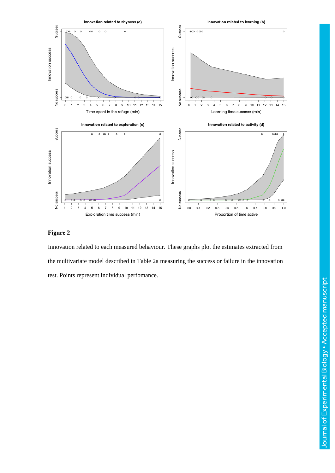

## **Figure 2**

Innovation related to each measured behaviour. These graphs plot the estimates extracted from the multivariate model described in Table 2a measuring the success or failure in the innovation test. Points represent individual perfomance.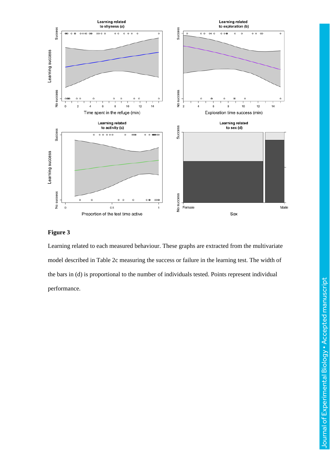

# **Figure 3**

Learning related to each measured behaviour. These graphs are extracted from the multivariate model described in Table 2c measuring the success or failure in the learning test. The width of the bars in (d) is proportional to the number of individuals tested. Points represent individual performance.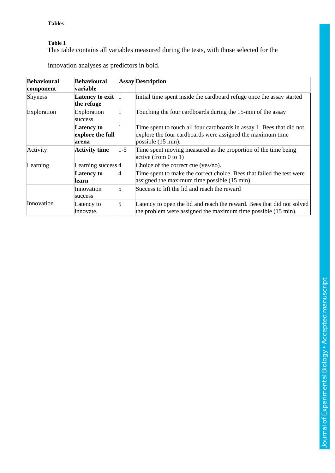# **Tables**

# **Table 1**

This table contains all variables measured during the tests, with those selected for the

| <b>Behavioural</b><br>component | <b>Behavioural</b><br>variable                 |                                                                 | <b>Assay Description</b>                                                                                                                                             |  |
|---------------------------------|------------------------------------------------|-----------------------------------------------------------------|----------------------------------------------------------------------------------------------------------------------------------------------------------------------|--|
| Shyness                         | Latency to exit<br>the refuge                  | $\vert$ 1                                                       | Initial time spent inside the cardboard refuge once the assay started                                                                                                |  |
| Exploration                     | Exploration<br>success                         | 1                                                               | Touching the four cardboards during the 15-min of the assay                                                                                                          |  |
|                                 | <b>Latency to</b><br>explore the full<br>arena | 1                                                               | Time spent to touch all four cardboards in assay 1. Bees that did not<br>explore the four cardboards were assigned the maximum time<br>possible $(15 \text{ min})$ . |  |
| Activity                        | <b>Activity time</b>                           | $1 - 5$                                                         | Time spent moving measured as the proportion of the time being<br>active (from 0 to 1)                                                                               |  |
| Learning                        | Learning success 4                             |                                                                 | Choice of the correct cue (yes/no).                                                                                                                                  |  |
|                                 | <b>Latency to</b><br>learn                     | $\vert 4 \vert$<br>assigned the maximum time possible (15 min). | Time spent to make the correct choice. Bees that failed the test were                                                                                                |  |
|                                 | Innovation<br>success                          | 5                                                               | Success to lift the lid and reach the reward                                                                                                                         |  |
| Innovation                      | Latency to<br>innovate.                        | 5                                                               | Latency to open the lid and reach the reward. Bees that did not solved<br>the problem were assigned the maximum time possible (15 min).                              |  |

innovation analyses as predictors in bold.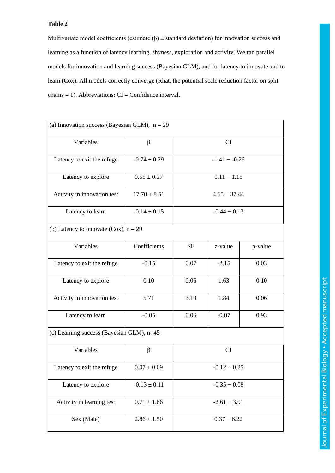# **Table 2**

Multivariate model coefficients (estimate  $(\beta)$  ± standard deviation) for innovation success and learning as a function of latency learning, shyness, exploration and activity. We ran parallel models for innovation and learning success (Bayesian GLM), and for latency to innovate and to learn (Cox). All models correctly converge (Rhat, the potential scale reduction factor on split  $chains = 1$ ). Abbreviations:  $CI = Confidence$  interval.

| (a) Innovation success (Bayesian GLM), $n = 29$ |                  |                 |         |         |  |  |  |  |
|-------------------------------------------------|------------------|-----------------|---------|---------|--|--|--|--|
| Variables                                       | β                | CI              |         |         |  |  |  |  |
| Latency to exit the refuge                      | $-0.74 \pm 0.29$ | $-1.41 - -0.26$ |         |         |  |  |  |  |
| Latency to explore                              | $0.55 \pm 0.27$  | $0.11 - 1.15$   |         |         |  |  |  |  |
| Activity in innovation test                     | $17.70 \pm 8.51$ | $4.65 - 37.44$  |         |         |  |  |  |  |
| Latency to learn                                | $-0.14 \pm 0.15$ | $-0.44 - 0.13$  |         |         |  |  |  |  |
| (b) Latency to innovate (Cox), $n = 29$         |                  |                 |         |         |  |  |  |  |
| Variables                                       | Coefficients     | <b>SE</b>       | z-value | p-value |  |  |  |  |
| Latency to exit the refuge                      | $-0.15$          | 0.07            | $-2.15$ | 0.03    |  |  |  |  |
| Latency to explore                              | 0.10             | 0.06            | 1.63    | 0.10    |  |  |  |  |
| Activity in innovation test                     | 5.71             | 3.10            | 1.84    | 0.06    |  |  |  |  |
| Latency to learn                                | $-0.05$          | 0.06<br>$-0.07$ |         | 0.93    |  |  |  |  |
| (c) Learning success (Bayesian GLM), n=45       |                  |                 |         |         |  |  |  |  |
| Variables                                       | β                | CI              |         |         |  |  |  |  |
| Latency to exit the refuge                      | $0.07 \pm 0.09$  | $-0.12 - 0.25$  |         |         |  |  |  |  |
| Latency to explore                              | $-0.13 \pm 0.11$ | $-0.35 - 0.08$  |         |         |  |  |  |  |
| Activity in learning test                       | $0.71 \pm 1.66$  | $-2.61 - 3.91$  |         |         |  |  |  |  |
| Sex (Male)                                      | $2.86 \pm 1.50$  | $0.37 - 6.22$   |         |         |  |  |  |  |
|                                                 |                  |                 |         |         |  |  |  |  |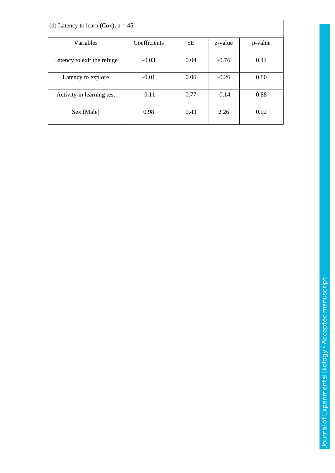| (d) Latency to learn (Cox), $n = 45$ |              |           |         |         |  |  |  |
|--------------------------------------|--------------|-----------|---------|---------|--|--|--|
| Variables                            | Coefficients | <b>SE</b> | z-value | p-value |  |  |  |
| Latency to exit the refuge           | $-0.03$      | 0.04      | $-0.76$ | 0.44    |  |  |  |
| Latency to explore                   | $-0.01$      | 0.06      | $-0.26$ | 0.80    |  |  |  |
| Activity in learning test            | $-0.11$      | 0.77      | $-0.14$ | 0.88    |  |  |  |
| Sex (Male)                           | 0.98         | 0.43      | 2.26    | 0.02    |  |  |  |